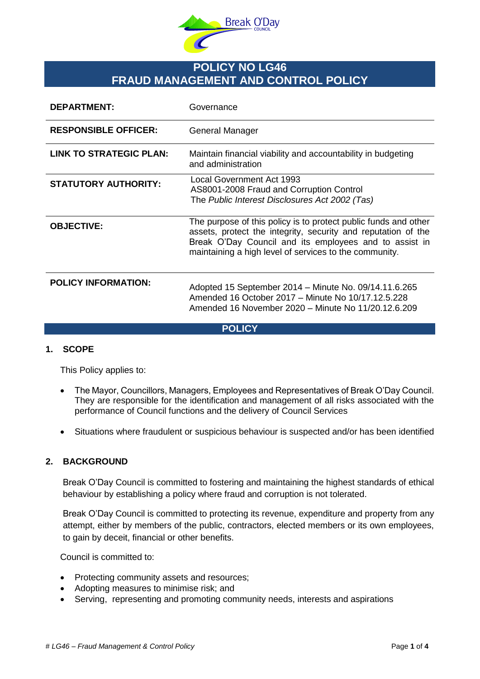

# **POLICY NO LG46 FRAUD MANAGEMENT AND CONTROL POLICY**

| <b>DEPARTMENT:</b>             | Governance                                                                                                                                                                                                                                           |
|--------------------------------|------------------------------------------------------------------------------------------------------------------------------------------------------------------------------------------------------------------------------------------------------|
| <b>RESPONSIBLE OFFICER:</b>    | <b>General Manager</b>                                                                                                                                                                                                                               |
| <b>LINK TO STRATEGIC PLAN:</b> | Maintain financial viability and accountability in budgeting<br>and administration                                                                                                                                                                   |
| <b>STATUTORY AUTHORITY:</b>    | Local Government Act 1993<br>AS8001-2008 Fraud and Corruption Control<br>The Public Interest Disclosures Act 2002 (Tas)                                                                                                                              |
| <b>OBJECTIVE:</b>              | The purpose of this policy is to protect public funds and other<br>assets, protect the integrity, security and reputation of the<br>Break O'Day Council and its employees and to assist in<br>maintaining a high level of services to the community. |
| <b>POLICY INFORMATION:</b>     | Adopted 15 September 2014 – Minute No. 09/14.11.6.265<br>Amended 16 October 2017 – Minute No 10/17.12.5.228<br>Amended 16 November 2020 - Minute No 11/20.12.6.209                                                                                   |

### **POLICY**

# **1. SCOPE**

This Policy applies to:

- The Mayor, Councillors, Managers, Employees and Representatives of Break O'Day Council. They are responsible for the identification and management of all risks associated with the performance of Council functions and the delivery of Council Services
- Situations where fraudulent or suspicious behaviour is suspected and/or has been identified

### **2. BACKGROUND**

Break O'Day Council is committed to fostering and maintaining the highest standards of ethical behaviour by establishing a policy where fraud and corruption is not tolerated.

Break O'Day Council is committed to protecting its revenue, expenditure and property from any attempt, either by members of the public, contractors, elected members or its own employees, to gain by deceit, financial or other benefits.

Council is committed to:

- Protecting community assets and resources;
- Adopting measures to minimise risk; and
- Serving, representing and promoting community needs, interests and aspirations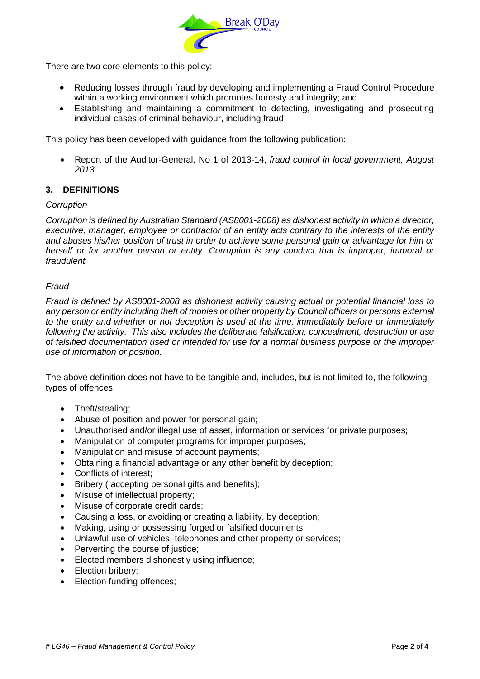

There are two core elements to this policy:

- Reducing losses through fraud by developing and implementing a Fraud Control Procedure within a working environment which promotes honesty and integrity; and
- Establishing and maintaining a commitment to detecting, investigating and prosecuting individual cases of criminal behaviour, including fraud

This policy has been developed with guidance from the following publication:

 Report of the Auditor-General, No 1 of 2013-14, *fraud control in local government, August 2013*

# **3. DEFINITIONS**

### *Corruption*

*Corruption is defined by Australian Standard (AS8001-2008) as dishonest activity in which a director, executive, manager, employee or contractor of an entity acts contrary to the interests of the entity and abuses his/her position of trust in order to achieve some personal gain or advantage for him or herself or for another person or entity. Corruption is any conduct that is improper, immoral or fraudulent.*

### *Fraud*

*Fraud is defined by AS8001-2008 as dishonest activity causing actual or potential financial loss to any person or entity including theft of monies or other property by Council officers or persons external to the entity and whether or not deception is used at the time, immediately before or immediately following the activity. This also includes the deliberate falsification, concealment, destruction or use of falsified documentation used or intended for use for a normal business purpose or the improper use of information or position.* 

The above definition does not have to be tangible and, includes, but is not limited to, the following types of offences:

- Theft/stealing;
- Abuse of position and power for personal gain;
- Unauthorised and/or illegal use of asset, information or services for private purposes;
- Manipulation of computer programs for improper purposes;
- Manipulation and misuse of account payments;
- Obtaining a financial advantage or any other benefit by deception;
- Conflicts of interest:
- Bribery (accepting personal gifts and benefits);
- Misuse of intellectual property;
- Misuse of corporate credit cards;
- Causing a loss, or avoiding or creating a liability, by deception;
- Making, using or possessing forged or falsified documents;
- Unlawful use of vehicles, telephones and other property or services;
- Perverting the course of justice;
- Elected members dishonestly using influence;
- Election bribery:
- Election funding offences;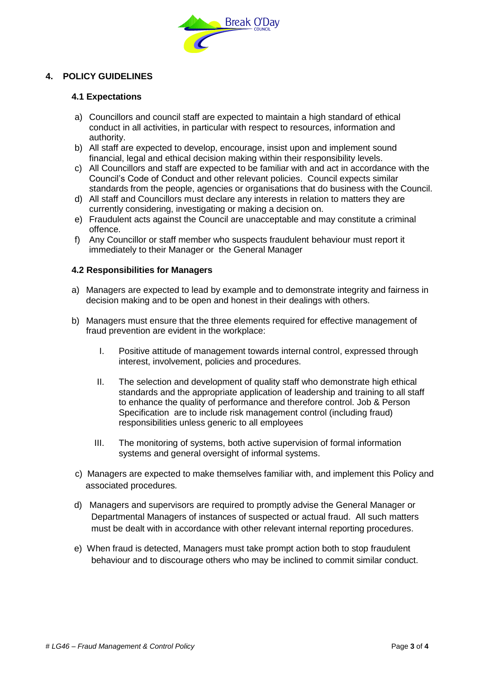

# **4. POLICY GUIDELINES**

### **4.1 Expectations**

- a) Councillors and council staff are expected to maintain a high standard of ethical conduct in all activities, in particular with respect to resources, information and authority.
- b) All staff are expected to develop, encourage, insist upon and implement sound financial, legal and ethical decision making within their responsibility levels.
- c) All Councillors and staff are expected to be familiar with and act in accordance with the Council's Code of Conduct and other relevant policies. Council expects similar standards from the people, agencies or organisations that do business with the Council.
- d) All staff and Councillors must declare any interests in relation to matters they are currently considering, investigating or making a decision on.
- e) Fraudulent acts against the Council are unacceptable and may constitute a criminal offence.
- f) Any Councillor or staff member who suspects fraudulent behaviour must report it immediately to their Manager or the General Manager

### **4.2 Responsibilities for Managers**

- a) Managers are expected to lead by example and to demonstrate integrity and fairness in decision making and to be open and honest in their dealings with others.
- b) Managers must ensure that the three elements required for effective management of fraud prevention are evident in the workplace:
	- I. Positive attitude of management towards internal control, expressed through interest, involvement, policies and procedures.
	- II. The selection and development of quality staff who demonstrate high ethical standards and the appropriate application of leadership and training to all staff to enhance the quality of performance and therefore control. Job & Person Specification are to include risk management control (including fraud) responsibilities unless generic to all employees
	- III. The monitoring of systems, both active supervision of formal information systems and general oversight of informal systems.
- c) Managers are expected to make themselves familiar with, and implement this Policy and associated procedures*.*
- d) Managers and supervisors are required to promptly advise the General Manager or Departmental Managers of instances of suspected or actual fraud. All such matters must be dealt with in accordance with other relevant internal reporting procedures.
- e) When fraud is detected, Managers must take prompt action both to stop fraudulent behaviour and to discourage others who may be inclined to commit similar conduct.